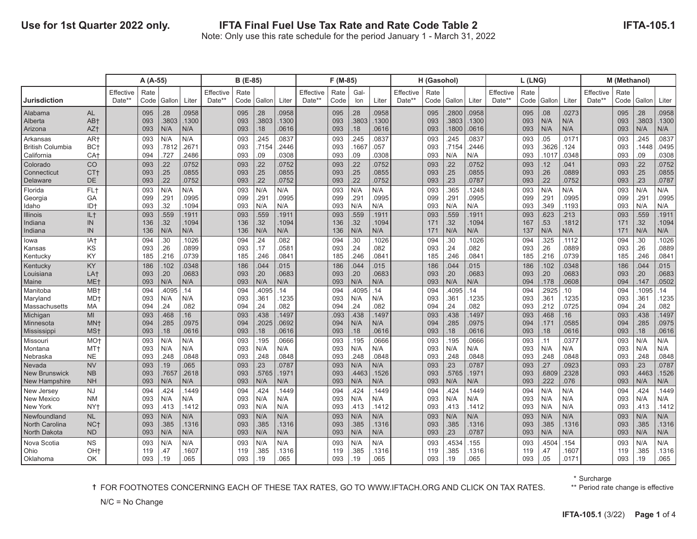|                                                        |                                                       |                     | A (A-55)          |                      |                       |                            | B (E-85)          |                      |                        |                     | F (M-85)           |                    |                       |                     | H (Gasohol)       |                         |                         |                     | L(LNG)            |                     |                         |                     | M (Methanol)      |                      |                         |
|--------------------------------------------------------|-------------------------------------------------------|---------------------|-------------------|----------------------|-----------------------|----------------------------|-------------------|----------------------|------------------------|---------------------|--------------------|--------------------|-----------------------|---------------------|-------------------|-------------------------|-------------------------|---------------------|-------------------|---------------------|-------------------------|---------------------|-------------------|----------------------|-------------------------|
| <b>Jurisdiction</b>                                    |                                                       | Effective<br>Date** | Rate<br>Code      | Gallon               | Liter                 | <b>Effective</b><br>Date** | Rate<br>Code      | Gallon               | Liter                  | Effective<br>Date** | Rate<br>Code       | Gal-<br>lon        | Liter                 | Effective<br>Date** | Rate<br>Code      | Gallon                  | Liter                   | Effective<br>Date** | Rate<br>Code      | Gallon              | Liter                   | Effective<br>Date** | Rate<br>Code      | Gallon               | Liter                   |
| Alabama<br>Alberta<br>Arizona                          | <b>AL</b><br>AB+<br>AZ <sup>+</sup>                   |                     | 095<br>093<br>093 | .28<br>.3803<br>N/A  | 0958<br>1300<br>N/A   |                            | 095<br>093<br>093 | .28<br>.3803<br>.18  | .0958<br>.1300<br>0616 |                     | 095<br>093<br>093  | 28<br>.3803<br>18  | 0958<br>1300<br>.0616 |                     | 095<br>093<br>093 | .2800<br>.3803<br>.1800 | .0958<br>.1300<br>.0616 |                     | 095<br>093<br>093 | .08<br>N/A<br>N/A   | .0273<br>N/A<br>N/A     |                     | 095<br>093<br>093 | .28<br>.3803<br>N/A  | .0958<br>.1300<br>N/A   |
| Arkansas<br><b>British Columbia</b><br>California      | AR <sup>+</sup><br>BC <sub>t</sub><br>CA <sub>t</sub> |                     | 093<br>093<br>094 | N/A<br>.7812<br>.727 | N/A<br>.2671<br>2486  |                            | 093<br>093<br>093 | .245<br>.7154<br>.09 | .0837<br>2446<br>0308  |                     | 093<br>093<br>093  | 245<br>.166<br>09  | 0837<br>.057<br>0308  |                     | 093<br>093<br>093 | 245<br>.7154<br>N/A     | .0837<br>.2446<br>N/A   |                     | 093<br>093<br>093 | .05<br>3626<br>1017 | .0171<br>.124<br>.0348  |                     | 093<br>093<br>093 | .245<br>.1448<br>.09 | .0837<br>.0495<br>.0308 |
| Colorado<br>Connecticut<br>Delaware                    | CO<br>CT <sub>t</sub><br>DE                           |                     | 093<br>093<br>093 | .22<br>.25<br>.22    | 0752<br>0855<br>0752  |                            | 093<br>093<br>093 | .22<br>.25<br>.22    | 0752<br>.0855<br>0752  |                     | 093<br>093<br>093  | 22<br>25<br>22     | 0752<br>0855<br>.0752 |                     | 093<br>093<br>093 | .22<br>.25<br>.23       | .0752<br>.0855<br>.0787 |                     | 093<br>093<br>093 | .12<br>.26<br>22    | .041<br>.0889<br>.0752  |                     | 093<br>093<br>093 | .22<br>.25<br>.23    | .0752<br>.0855<br>.0787 |
| Florida<br>Georgia<br>Idaho                            | FL+<br>GA<br>ID+                                      |                     | 093<br>099<br>093 | N/A<br>.291<br>.32   | N/A<br>0995<br>1094   |                            | 093<br>099<br>093 | N/A<br>.291<br>N/A   | N/A<br>0995<br>N/A     |                     | 093<br>099<br>093  | N/A<br>.291<br>N/A | N/A<br>0995<br>N/A    |                     | 093<br>099<br>093 | .365<br>.291<br>N/A     | .1248<br>.0995<br>N/A   |                     | 093<br>099<br>093 | N/A<br>291<br>.349  | N/A<br>.0995<br>.1193   |                     | 093<br>099<br>093 | N/A<br>.291<br>N/A   | N/A<br>.0995<br>N/A     |
| <b>Illinois</b><br>Indiana<br>Indiana                  | IL+<br>IN<br>IN                                       |                     | 093<br>136<br>136 | .559<br>.32<br>N/A   | 1911<br>1094<br>N/A   |                            | 093<br>136<br>136 | .559<br>.32<br>N/A   | 1911<br>1094<br>N/A    |                     | 093<br>136<br>136  | .559<br>32<br>N/A  | 1911<br>1094<br>N/A   |                     | 093<br>171<br>171 | .559<br>.32<br>N/A      | .1911<br>.1094<br>N/A   |                     | 093<br>167<br>137 | 623<br>53<br>N/A    | .213<br>.1812<br>N/A    |                     | 093<br>171<br>171 | .559<br>.32<br>N/A   | .1911<br>.1094<br>N/A   |
| lowa<br>Kansas<br>Kentucky                             | IA+<br>KS<br>KY                                       |                     | 094<br>093<br>185 | .30<br>.26<br>.216   | 1026<br>0899<br>.0739 |                            | 094<br>093<br>185 | .24<br>.17<br>.246   | .082<br>0581<br>0841   |                     | 094<br>093<br>185  | 30<br>24<br>246    | 1026<br>082<br>.0841  |                     | 094<br>093<br>185 | .30<br>.24<br>.246      | .1026<br>.082<br>.0841  |                     | 094<br>093<br>185 | 325<br>.26<br>.216  | .1112<br>.0889<br>.0739 |                     | 094<br>093<br>185 | .30<br>.26<br>.246   | .1026<br>.0889<br>.0841 |
| Kentucky<br>Louisiana<br>Maine                         | KY<br>LA <sup>+</sup><br>ME <sub>t</sub>              |                     | 186<br>093<br>093 | .102<br>.20<br>N/A   | 0348<br>.0683<br>N/A  |                            | 186<br>093<br>093 | .044<br>.20<br>N/A   | 015<br>.0683<br>N/A    |                     | 186<br>093<br>093  | 044<br>20<br>N/A   | 015<br>.0683<br>N/A   |                     | 186<br>093<br>093 | .044<br>.20<br>N/A      | .015<br>.0683<br>N/A    |                     | 186<br>093<br>094 | 102<br>.20<br>.178  | 0348<br>.0683<br>.0608  |                     | 186<br>093<br>094 | .044<br>.20<br>.147  | .015<br>.0683<br>.0502  |
| Manitoba<br>Maryland<br>Massachusetts                  | MB <sup>+</sup><br>MD <sup>+</sup><br>MA              |                     | 094<br>093<br>094 | .4095<br>N/A<br>.24  | .14<br>N/A<br>.082    |                            | 094<br>093<br>094 | .4095<br>.361<br>.24 | .14<br>1235<br>082     |                     | 094<br>093<br>094  | .4095<br>N/A<br>24 | .14<br>N/A<br>.082    |                     | 094<br>093<br>094 | .4095<br>.361<br>.24    | .14<br>.1235<br>.082    |                     | 094<br>093<br>093 | 2925<br>.361<br>212 | 10<br>.1235<br>.0725    |                     | 094<br>093<br>094 | 1095<br>.361<br>.24  | .14<br>.1235<br>.082    |
| Michigan<br>Minnesota<br>Mississippi                   | MI<br>MN <sup>+</sup><br>MS <sup>+</sup>              |                     | 093<br>094<br>093 | .468<br>.285<br>.18  | .16<br>.0975<br>0616  |                            | 093<br>094<br>093 | .438<br>.2025<br>.18 | 1497<br>0692<br>0616   |                     | .093<br>094<br>093 | 438<br>N/A<br>18   | 1497<br>N/A<br>.0616  |                     | 093<br>094<br>093 | .438<br>.285<br>.18     | .1497<br>.0975<br>.0616 |                     | 093<br>094<br>093 | 468<br>.171<br>.18  | 16<br>0585<br>.0616     |                     | 093<br>094<br>093 | .438<br>.285<br>.18  | .1497<br>.0975<br>.0616 |
| Missouri<br>Montana<br>Nebraska                        | MO <sup>+</sup><br>MT <sup>+</sup><br><b>NE</b>       |                     | 093<br>093<br>093 | N/A<br>N/A<br>.248   | N/A<br>N/A<br>0848    |                            | 093<br>093<br>093 | .195<br>N/A<br>.248  | .0666<br>N/A<br>0848   |                     | 093<br>093<br>093  | 195<br>N/A<br>.248 | 0666<br>N/A<br>.0848  |                     | 093<br>093<br>093 | 195<br>N/A<br>.248      | .0666<br>N/A<br>.0848   |                     | 093<br>093<br>093 | .11<br>N/A<br>248   | .0377<br>N/A<br>.0848   |                     | 093<br>093<br>093 | N/A<br>N/A<br>.248   | N/A<br>N/A<br>.0848     |
| <b>Nevada</b><br><b>New Brunswick</b><br>New Hampshire | <b>NV</b><br><b>NB</b><br><b>NH</b>                   |                     | 093<br>093<br>093 | .19<br>.7657<br>N/A  | .065<br>.2618<br>N/A  |                            | 093<br>093<br>093 | .23<br>.5765<br>N/A  | .0787<br>.1971<br>N/A  |                     | 093<br>093<br>093  | N/A<br>4463<br>N/A | N/A<br>.1526<br>N/A   |                     | 093<br>093<br>093 | .23<br>.5765<br>N/A     | .0787<br>.1971<br>N/A   |                     | 093<br>093<br>093 | 27<br>.6809<br>222  | .0923<br>.2328<br>.076  |                     | 093<br>093<br>093 | .23<br>.4463<br>N/A  | .0787<br>.1526<br>N/A   |
| New Jersey<br><b>New Mexico</b><br><b>New York</b>     | <b>NJ</b><br><b>NM</b><br>NY <sub>t</sub>             |                     | 094<br>093<br>093 | 424<br>N/A<br>.413   | 1449<br>N/A<br>1412   |                            | 094<br>093<br>093 | .424<br>N/A<br>N/A   | 1449.<br>N/A<br>N/A    |                     | 094<br>093<br>093  | 424<br>N/A<br>413  | 1449<br>N/A<br>.1412  |                     | 094<br>093<br>093 | 424<br>N/A<br>.413      | .1449<br>N/A<br>.1412   |                     | 094<br>093<br>093 | N/A<br>N/A<br>N/A   | N/A<br>N/A<br>N/A       |                     | 094<br>093<br>093 | 424<br>N/A<br>.413   | .1449<br>N/A<br>.1412   |
| Newfoundland<br><b>North Carolina</b><br>North Dakota  | <b>NL</b><br>NC <sub>†</sub><br>N <sub>D</sub>        |                     | 093<br>093<br>093 | N/A<br>.385<br>N/A   | N/A<br>1316<br>N/A    |                            | 093<br>093<br>093 | N/A<br>.385<br>N/A   | N/A<br>1316<br>N/A     |                     | 093<br>093<br>093  | N/A<br>385<br>N/A  | N/A<br>.1316<br>N/A   |                     | 093<br>093<br>093 | N/A<br>.385<br>.23      | N/A<br>.1316<br>.0787   |                     | 093<br>093<br>093 | N/A<br>.385<br>N/A  | N/A<br>.1316<br>N/A     |                     | 093<br>093<br>093 | N/A<br>.385<br>N/A   | N/A<br>.1316<br>N/A     |
| Nova Scotia<br>Ohio<br>Oklahoma                        | <b>NS</b><br>OH <sub>t</sub><br>OK.                   |                     | 093<br>119<br>093 | N/A<br>.47<br>.19    | N/A<br>1607<br>.065   |                            | 093<br>119<br>093 | N/A<br>.385<br>.19   | N/A<br>1316<br>065     |                     | 093<br>119<br>093  | N/A<br>.385<br>.19 | N/A<br>.1316<br>.065  |                     | 093<br>119<br>093 | .4534<br>385<br>.19     | .155<br>.1316<br>.065   |                     | 093<br>119<br>093 | 4504<br>47<br>.05   | 154<br>.1607<br>.0171   |                     | 093<br>119<br>093 | N/A<br>.385<br>.19   | N/A<br>.1316<br>.065    |

**†** FOR FOOTNOTES CONCERNING EACH OF THESE TAX RATES, GO TO WWW.IFTACH.ORG AND CLICK ON TAX RATES.

\*\* Period rate change is effective

**IFTA-105.1**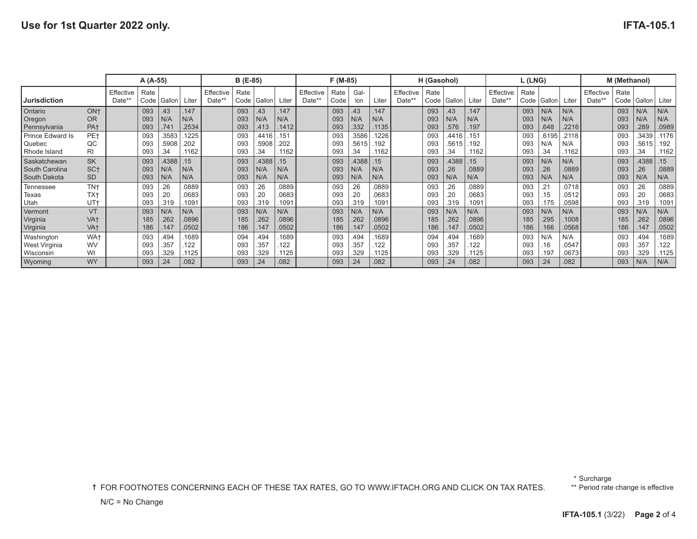|                                                       |                                                       |                     | A (A-55)          |                       |                        |                     | B (E-85)          |                       |                                     |                     | F (M-85)          |                       |                        |                     | H (Gasohol)       |                       |                         |                     | L (LNG)           |                     |                         |                     | M (Methanol)      |                      |                         |
|-------------------------------------------------------|-------------------------------------------------------|---------------------|-------------------|-----------------------|------------------------|---------------------|-------------------|-----------------------|-------------------------------------|---------------------|-------------------|-----------------------|------------------------|---------------------|-------------------|-----------------------|-------------------------|---------------------|-------------------|---------------------|-------------------------|---------------------|-------------------|----------------------|-------------------------|
| Jurisdiction                                          |                                                       | Effective<br>Date** | Rate<br>Code      | Gallon'               | Liter                  | Effective<br>Date** | Rate<br>Code      | Gallon                | Liter                               | Effective<br>Date** | Rate<br>Code      | Gal-<br>lon           | Liter                  | Effective<br>Date** | Rate<br>Code      | Gallon                | Liter                   | Effective<br>Date** | Rate<br>Code      | Gallon              | Liter                   | Effective<br>Date** | Rate<br>Code      | Gallon               | Liter                   |
| <b>Ontario</b><br>Oregon<br>Pennsylvania              | ON <sub>†</sub><br><b>OR</b><br>PA <sub>t</sub>       |                     | 093<br>093<br>093 | .43<br>N/A<br>.741    | 147<br>N/A<br>.2534    |                     | 093<br>093<br>093 | .43<br>N/A<br>.413    | 147<br>N/A<br>.1412                 |                     | 093<br>093<br>093 | 43<br>N/A<br>.332     | 147<br>N/A<br>.1135    |                     | 093<br>093<br>093 | .43<br>N/A<br>.576    | 147<br>N/A<br>.197      |                     | 093<br>093<br>093 | N/A<br>N/A<br>.648  | N/A<br>N/A<br>.2216     |                     | 093<br>093<br>093 | N/A<br>N/A<br>.289   | N/A<br>N/A<br>.0989     |
| Prince Edward Is<br>  Quebec<br>Rhode Island          | PE+<br>QC<br>RI                                       |                     | 093<br>093<br>093 | .3583<br>.5908<br>.34 | 1225<br>.202<br>.1162  |                     | 093<br>093<br>093 | .4416<br>.5908<br>.34 | .151<br>.202<br>.1162               |                     | 093<br>093<br>093 | .3586<br>.5615<br>.34 | 1226<br>192<br>1162    |                     | 093<br>093<br>093 | .4416<br>.5615<br>.34 | .151<br>.192<br>.1162   |                     | 093<br>093<br>093 | 6195<br>N/A<br>.34  | .2118<br>N/A<br>.1162   |                     | 093<br>093<br>093 | 3439<br>.5615<br>.34 | .1176<br>.192<br>.1162  |
| <b>Saskatchewan</b><br>South Carolina<br>South Dakota | <b>SK</b><br>SC <sub>t</sub><br><b>SD</b>             |                     | 093<br>093<br>093 | .4388<br>N/A<br>N/A   | 15<br>N/A<br>N/A       |                     | 093<br>093<br>093 | .4388<br>N/A<br>N/A   | .15<br>N/A<br>N/A                   |                     | 093<br>093<br>093 | .4388<br>N/A<br>N/A   | 15<br>N/A<br>N/A       |                     | 093<br>093<br>093 | .4388<br>.26<br>N/A   | 15<br>.0889<br>N/A      |                     | 093<br>093<br>093 | N/A<br>26<br>N/A    | N/A<br>.0889<br>N/A     |                     | 093<br>093<br>093 | 4388<br>.26<br>N/A   | 15<br>.0889<br>N/A      |
| Tennessee<br>Texas<br>Utah                            | TN <sub>t</sub><br>TX <sup>+</sup><br>UT <sub>t</sub> |                     | 093<br>093<br>093 | .26<br>.20<br>.319    | 0889<br>.0683<br>.1091 |                     | 093<br>093<br>093 | .26<br>.20<br>.319    | .0889<br>.0683<br>.109 <sup>2</sup> |                     | 093<br>093<br>093 | .26<br>20<br>.319     | .0889<br>.0683<br>1091 |                     | 093<br>093<br>093 | .26<br>.20<br>.319    | .0889<br>.0683<br>.1091 |                     | 093<br>093<br>093 | .15<br>175          | .0718<br>.0512<br>.0598 |                     | 093<br>093<br>093 | .26<br>.20<br>.319   | .0889<br>.0683<br>.1091 |
| Vermont<br>Virginia<br>Virginia                       | VT<br>VA+<br>VA <sub>t</sub>                          |                     | 093<br>185<br>186 | N/A<br>.262<br>.147   | N/A<br>.0896<br>.0502  |                     | 093<br>185<br>186 | N/A<br>.262<br>.147   | N/A<br>.0896<br>.0502               |                     | 093<br>185<br>186 | N/A<br>.262<br>.147   | N/A<br>.0896<br>.0502  |                     | 093<br>185<br>186 | N/A<br>.262<br>.147   | N/A<br>.0896<br>.0502   |                     | 093<br>185<br>186 | N/A<br>.295<br>.166 | N/A<br>.1008<br>.0568   |                     | 093<br>185<br>186 | N/A<br>.262<br>.147  | N/A<br>.0896<br>.0502   |
| <b>Washington</b><br>West Virginia<br>Wisconsin       | WA <sup>+</sup><br><b>WV</b><br>WI                    |                     | 093<br>093<br>093 | .494<br>.357<br>.329  | .1689<br>122<br>.1125  |                     | 094<br>093<br>093 | .494<br>.357<br>.329  | 1689<br>122<br>1125                 |                     | 093<br>093<br>093 | .494<br>.357<br>.329  | 1689<br>122<br>1125    |                     | 094<br>093<br>093 | .494<br>.357<br>.329  | 1689<br>122<br>.1125    |                     | 093<br>093<br>093 | N/A<br>.16<br>.197  | N/A<br>.0547<br>.0673   |                     | 093<br>093<br>093 | .494<br>.357<br>.329 | .1689<br>.122<br>.1125  |
| Wyoming                                               | <b>WY</b>                                             |                     | 093               | .24                   | .082                   |                     | 093               | .24                   | .082                                |                     | 093               | .24                   | .082                   |                     | 093               | .24                   | .082                    |                     | 093               | .24                 | .082                    |                     | 093               | N/A                  | N/A                     |

**†** FOR FOOTNOTES CONCERNING EACH OF THESE TAX RATES, GO TO WWW.IFTACH.ORG AND CLICK ON TAX RATES.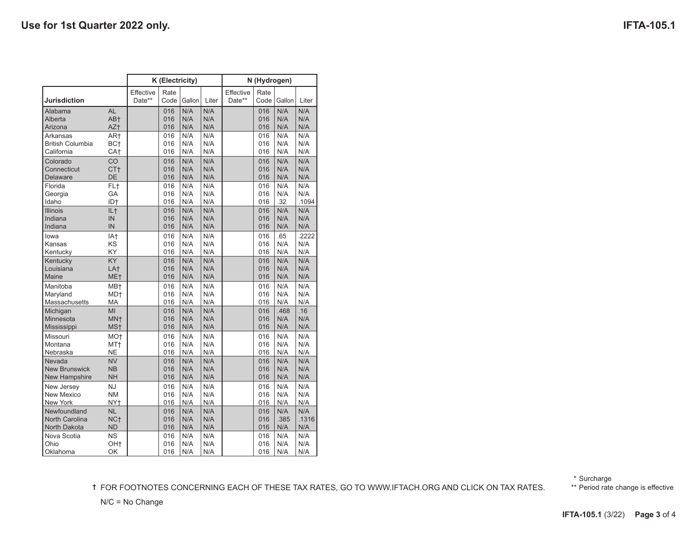|                                                       |                                                       |                     | K (Electricity)   |                   |                   | N (Hydrogen)        |                   |                    |                     |  |  |  |
|-------------------------------------------------------|-------------------------------------------------------|---------------------|-------------------|-------------------|-------------------|---------------------|-------------------|--------------------|---------------------|--|--|--|
| <b>Jurisdiction</b>                                   |                                                       | Effective<br>Date** | Rate<br>Code      | Gallon            | Liter             | Effective<br>Date** | Rate<br>Code      | Gallon             | Liter               |  |  |  |
| Alabama<br>Alberta<br>Arizona                         | <b>AL</b><br>AB+<br>AZ+                               |                     | 016<br>016<br>016 | N/A<br>N/A<br>N/A | N/A<br>N/A<br>N/A |                     | 016<br>016<br>016 | N/A<br>N/A<br>N/A  | N/A<br>N/A<br>N/A   |  |  |  |
| Arkansas<br><b>British Columbia</b><br>California     | AR <sup>+</sup><br>BC <sub>t</sub><br>CA <sup>+</sup> |                     | 016<br>016<br>016 | N/A<br>N/A<br>N/A | N/A<br>N/A<br>N/A |                     | 016<br>016<br>016 | N/A<br>N/A<br>N/A  | N/A<br>N/A<br>N/A   |  |  |  |
| Colorado<br>Connecticut<br>Delaware                   | CO<br>CT <sub>t</sub><br>DE                           |                     | 016<br>016<br>016 | N/A<br>N/A<br>N/A | N/A<br>N/A<br>N/A |                     | 016<br>016<br>016 | N/A<br>N/A<br>N/A  | N/A<br>N/A<br>N/A   |  |  |  |
| Florida<br>Georgia<br>Idaho                           | FL+<br>GA<br>ID <sub>†</sub>                          |                     | 016<br>016<br>016 | N/A<br>N/A<br>N/A | N/A<br>N/A<br>N/A |                     | 016<br>016<br>016 | N/A<br>N/A<br>.32  | N/A<br>N/A<br>.1094 |  |  |  |
| <b>Illinois</b><br>Indiana<br>Indiana                 | IL <sub>†</sub><br>IN<br>IN                           |                     | 016<br>016<br>016 | N/A<br>N/A<br>N/A | N/A<br>N/A<br>N/A |                     | 016<br>016<br>016 | N/A<br>N/A<br>N/A  | N/A<br>N/A<br>N/A   |  |  |  |
| lowa<br>Kansas<br>Kentucky                            | IA+<br>KS<br>KY                                       |                     | 016<br>016<br>016 | N/A<br>N/A<br>N/A | N/A<br>N/A<br>N/A |                     | 016<br>016<br>016 | .65<br>N/A<br>N/A  | .2222<br>N/A<br>N/A |  |  |  |
| Kentucky<br>Louisiana<br>Maine                        | KY<br>LA <sup>+</sup><br>ME <sub>†</sub>              |                     | 016<br>016<br>016 | N/A<br>N/A<br>N/A | N/A<br>N/A<br>N/A |                     | 016<br>016<br>016 | N/A<br>N/A<br>N/A  | N/A<br>N/A<br>N/A   |  |  |  |
| Manitoba<br>Maryland<br>Massachusetts                 | MB+<br>MD <sup>+</sup><br>МA                          |                     | 016<br>016<br>016 | N/A<br>N/A<br>N/A | N/A<br>N/A<br>N/A |                     | 016<br>016<br>016 | N/A<br>N/A<br>N/A  | N/A<br>N/A<br>N/A   |  |  |  |
| Michigan<br>Minnesota<br>Mississippi                  | MI<br>MN <sup>+</sup><br>MS <sup>+</sup>              |                     | 016<br>016<br>016 | N/A<br>N/A<br>N/A | N/A<br>N/A<br>N/A |                     | 016<br>016<br>016 | .468<br>N/A<br>N/A | .16<br>N/A<br>N/A   |  |  |  |
| Missouri<br>Montana<br>Nebraska                       | MO <sup>+</sup><br>MT+<br><b>NE</b>                   |                     | 016<br>016<br>016 | N/A<br>N/A<br>N/A | N/A<br>N/A<br>N/A |                     | 016<br>016<br>016 | N/A<br>N/A<br>N/A  | N/A<br>N/A<br>N/A   |  |  |  |
| Nevada<br><b>New Brunswick</b><br>New Hampshire       | <b>NV</b><br><b>NB</b><br><b>NH</b>                   |                     | 016<br>016<br>016 | N/A<br>N/A<br>N/A | N/A<br>N/A<br>N/A |                     | 016<br>016<br>016 | N/A<br>N/A<br>N/A  | N/A<br>N/A<br>N/A   |  |  |  |
| New Jersey<br><b>New Mexico</b><br><b>New York</b>    | <b>NJ</b><br><b>NM</b><br>NY <sub>t</sub>             |                     | 016<br>016<br>016 | N/A<br>N/A<br>N/A | N/A<br>N/A<br>N/A |                     | 016<br>016<br>016 | N/A<br>N/A<br>N/A  | N/A<br>N/A<br>N/A   |  |  |  |
| Newfoundland<br><b>North Carolina</b><br>North Dakota | <b>NL</b><br>NC <sub>†</sub><br><b>ND</b>             |                     | 016<br>016<br>016 | N/A<br>N/A<br>N/A | N/A<br>N/A<br>N/A |                     | 016<br>016<br>016 | N/A<br>.385<br>N/A | N/A<br>.1316<br>N/A |  |  |  |
| Nova Scotia<br>Ohio<br>Oklahoma                       | <b>NS</b><br>OH <sub>t</sub><br>OK                    |                     | 016<br>016<br>016 | N/A<br>N/A<br>N/A | N/A<br>N/A<br>N/A |                     | 016<br>016<br>016 | N/A<br>N/A<br>N/A  | N/A<br>N/A<br>N/A   |  |  |  |

\* Surcharge

**†** FOR FOOTNOTES CONCERNING EACH OF THESE TAX RATES, GO TO WWW.IFTACH.ORG AND CLICK ON TAX RATES.